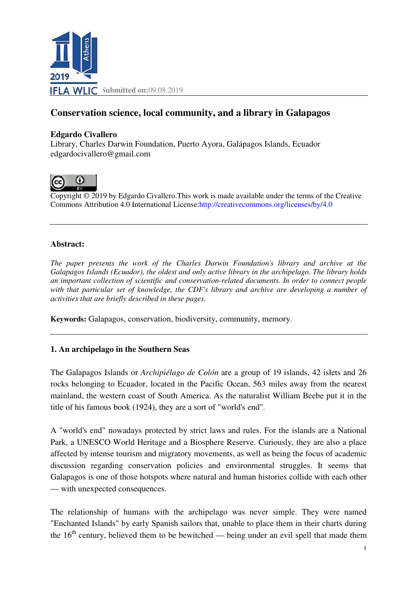

# **Conservation science, local community, and a library in Galapagos**

#### **Edgardo Civallero**

Library, Charles Darwin Foundation, Puerto Ayora, Galápagos Islands, Ecuador edgardocivallero@gmail.com



Copyright © 2019 by Edgardo Civallero. This work is made available under the terms of the Creative Copyright © 2019 by Edgardo Civallero. This work is made available under the terms of the Commons Attribution 4.0 International License: http://creativecommons.org/licenses/by/4.0

#### **Abstract:**

*The paper presents the work of the Charles Darwin Foundation's library and archive at the Galapagos Islands (Ecuador), the oldest and only active library in the archipelago. The library holds*  an important collection of scientific and conservation-related documents. In order to connect people *with that particular set of knowledge, the CDF's library and archive are developing a number of activities that are briefly described in these pages.*

**Keywords:** Galapagos, conservation, biodiversity, community, memory .

## **1. An archipelago in the Southern Seas**

The Galapagos Islands or *Archipiélago de Colón* are a group of 19 islands, 42 islets and 26 rocks belonging to Ecuador, located in the Pacific Ocean, 563 miles away from the nearest mainland, the western coast of South America. As the naturalist William Beebe put it in the title of his famous book (1924), they are a sort of "world's end".

A "world's end" nowadays protected by strict laws and rules. For the islands are a National Park, a UNESCO World Heritage and a Biosphere Reserve. Curiously, they are also a place affected by intense tourism and migratory movements, as well as being the focus of academic discussion regarding conservation policies and environmental struggles. It seems that Galapagos is one of those hotspots where natural and human histories collide with each other — with unexpected consequences.

The relationship of humans with the archipelago was never simple. They were named "Enchanted Islands" by early Spanish sailors that, unable to place them in their charts during "Enchanted Islands" by early Spanish sailors that, unable to place them in their charts during the  $16<sup>th</sup>$  century, believed them to be bewitched — being under an evil spell that made them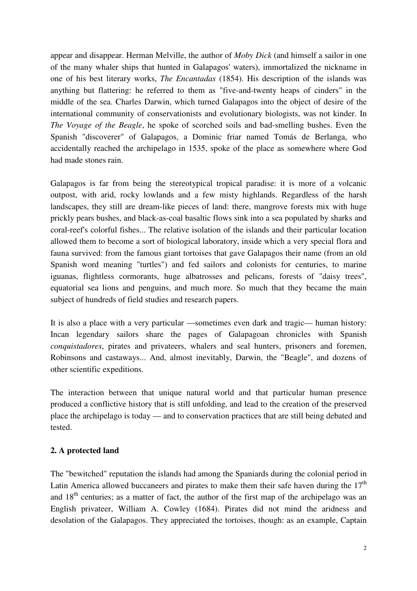appear and disappear. Herman Melville, the author of *Moby Dick* (and himself a sailor in one of the many whaler ships that hunted in Galapagos' waters), immortalized the nickname in one of his best literary works, *The Encantadas* (1854). His description of the islands was anything but flattering: he referred to them as "five-and-twenty heaps of cinders" in the middle of the sea. Charles Darwin, which turned Galapagos into the object of desire of the international community of conservationists and evolutionary biologists, was not kinder. In *The Voyage of the Beagle*, he spoke of scorched soils and bad-smelling bushes. Even the Spanish "discoverer" of Galapagos, a Dominic friar named Tomás de Berlanga, who accidentally reached the archipelago in 1535, spoke of the place as somewhere where God had made stones rain.

Galapagos is far from being the stereotypical tropical paradise: it is more of a volcanic outpost, with arid, rocky lowlands and a few misty highlands. Regardless of the harsh landscapes, they still are dream-like pieces of land: there, mangrove forests mix with huge prickly pears bushes, and black-as-coal basaltic flows sink into a sea populated by sharks and coral-reef's colorful fishes... The relative isolation of the islands and their particular location allowed them to become a sort of biological laboratory, inside which a very special flora and fauna survived: from the famous giant tortoises that gave Galapagos their name (from an old Spanish word meaning "turtles") and fed sailors and colonists for centuries, to marine iguanas, flightless cormorants, huge albatrosses and pelicans, forests of "daisy trees", equatorial sea lions and penguins, and much more. So much that they became the main subject of hundreds of field studies and research papers.

It is also a place with a very particular —sometimes even dark and tragic— human history: Incan legendary sailors share the pages of Galapagoan chronicles with Spanish *conquistadores*, pirates and privateers, whalers and seal hunters, prisoners and foremen, Robinsons and castaways... And, almost inevitably, Darwin, the "Beagle", and dozens of other scientific expeditions.

The interaction between that unique natural world and that particular human presence produced a conflictive history that is still unfolding, and lead to the creation of the preserved place the archipelago is today — and to conservation practices that are still being debated and tested.

## **2. A protected land**

The "bewitched" reputation the islands had among the Spaniards during the colonial period in Latin America allowed buccaneers and pirates to make them their safe haven during the  $17<sup>th</sup>$ and  $18<sup>th</sup>$  centuries; as a matter of fact, the author of the first map of the archipelago was an English privateer, William A. Cowley (1684). Pirates did not mind the aridness and desolation of the Galapagos. They appreciated the tortoises, though: as an example, Captain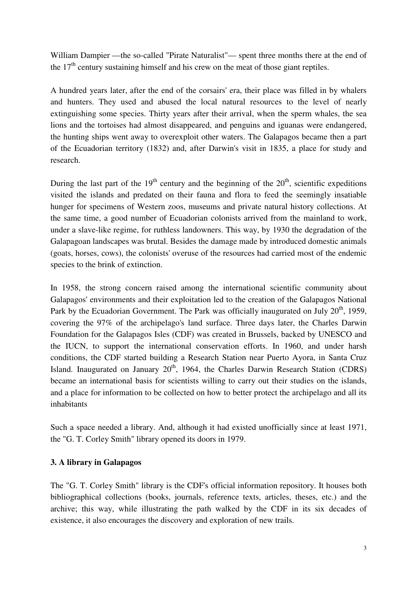William Dampier —the so-called "Pirate Naturalist"— spent three months there at the end of the  $17<sup>th</sup>$  century sustaining himself and his crew on the meat of those giant reptiles.

A hundred years later, after the end of the corsairs' era, their place was filled in by whalers and hunters. They used and abused the local natural resources to the level of nearly extinguishing some species. Thirty years after their arrival, when the sperm whales, the sea lions and the tortoises had almost disappeared, and penguins and iguanas were endangered, the hunting ships went away to overexploit other waters. The Galapagos became then a part of the Ecuadorian territory (1832) and, after Darwin's visit in 1835, a place for study and research.

During the last part of the  $19<sup>th</sup>$  century and the beginning of the  $20<sup>th</sup>$ , scientific expeditions visited the islands and predated on their fauna and flora to feed the seemingly insatiable hunger for specimens of Western zoos, museums and private natural history collections. At the same time, a good number of Ecuadorian colonists arrived from the mainland to work, under a slave-like regime, for ruthless landowners. This way, by 1930 the degradation of the Galapagoan landscapes was brutal. Besides the damage made by introduced domestic animals (goats, horses, cows), the colonists' overuse of the resources had carried most of the endemic species to the brink of extinction.

In 1958, the strong concern raised among the international scientific community about Galapagos' environments and their exploitation led to the creation of the Galapagos National Park by the Ecuadorian Government. The Park was officially inaugurated on July  $20<sup>th</sup>$ , 1959, covering the 97% of the archipelago's land surface. Three days later, the Charles Darwin Foundation for the Galapagos Isles (CDF) was created in Brussels, backed by UNESCO and the IUCN, to support the international conservation efforts. In 1960, and under harsh conditions, the CDF started building a Research Station near Puerto Ayora, in Santa Cruz Island. Inaugurated on January  $20<sup>th</sup>$ , 1964, the Charles Darwin Research Station (CDRS) became an international basis for scientists willing to carry out their studies on the islands, and a place for information to be collected on how to better protect the archipelago and all its inhabitants

Such a space needed a library. And, although it had existed unofficially since at least 1971, the "G. T. Corley Smith" library opened its doors in 1979.

## **3. A library in Galapagos**

The "G. T. Corley Smith" library is the CDF's official information repository. It houses both bibliographical collections (books, journals, reference texts, articles, theses, etc.) and the archive; this way, while illustrating the path walked by the CDF in its six decades of existence, it also encourages the discovery and exploration of new trails.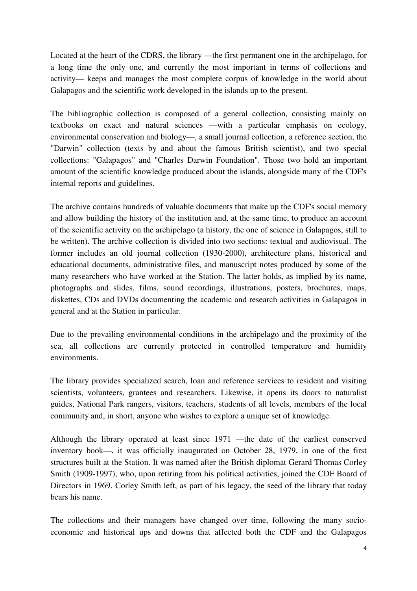Located at the heart of the CDRS, the library —the first permanent one in the archipelago, for a long time the only one, and currently the most important in terms of collections and activity— keeps and manages the most complete corpus of knowledge in the world about Galapagos and the scientific work developed in the islands up to the present.

The bibliographic collection is composed of a general collection, consisting mainly on textbooks on exact and natural sciences —with a particular emphasis on ecology, environmental conservation and biology—, a small journal collection, a reference section, the "Darwin" collection (texts by and about the famous British scientist), and two special collections: "Galapagos" and "Charles Darwin Foundation". Those two hold an important amount of the scientific knowledge produced about the islands, alongside many of the CDF's internal reports and guidelines.

The archive contains hundreds of valuable documents that make up the CDF's social memory and allow building the history of the institution and, at the same time, to produce an account of the scientific activity on the archipelago (a history, the one of science in Galapagos, still to be written). The archive collection is divided into two sections: textual and audiovisual. The former includes an old journal collection (1930-2000), architecture plans, historical and educational documents, administrative files, and manuscript notes produced by some of the many researchers who have worked at the Station. The latter holds, as implied by its name, photographs and slides, films, sound recordings, illustrations, posters, brochures, maps, diskettes, CDs and DVDs documenting the academic and research activities in Galapagos in general and at the Station in particular.

Due to the prevailing environmental conditions in the archipelago and the proximity of the sea, all collections are currently protected in controlled temperature and humidity environments.

The library provides specialized search, loan and reference services to resident and visiting scientists, volunteers, grantees and researchers. Likewise, it opens its doors to naturalist guides, National Park rangers, visitors, teachers, students of all levels, members of the local community and, in short, anyone who wishes to explore a unique set of knowledge.

Although the library operated at least since 1971 —the date of the earliest conserved inventory book—, it was officially inaugurated on October 28, 1979, in one of the first structures built at the Station. It was named after the British diplomat Gerard Thomas Corley Smith (1909-1997), who, upon retiring from his political activities, joined the CDF Board of Directors in 1969. Corley Smith left, as part of his legacy, the seed of the library that today bears his name.

The collections and their managers have changed over time, following the many socioeconomic and historical ups and downs that affected both the CDF and the Galapagos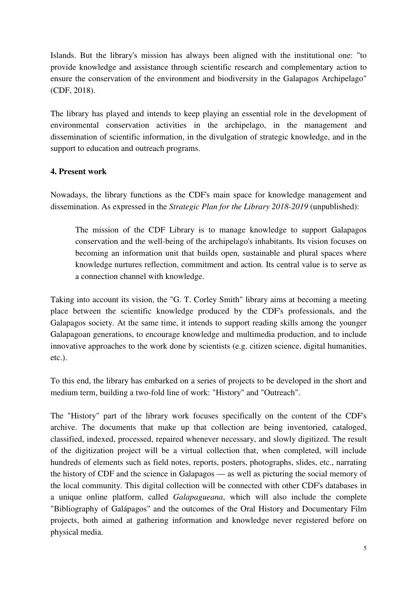Islands. But the library's mission has always been aligned with the institutional one: "to provide knowledge and assistance through scientific research and complementary action to ensure the conservation of the environment and biodiversity in the Galapagos Archipelago" (CDF, 2018).

The library has played and intends to keep playing an essential role in the development of environmental conservation activities in the archipelago, in the management and dissemination of scientific information, in the divulgation of strategic knowledge, and in the support to education and outreach programs.

## **4. Present work**

Nowadays, the library functions as the CDF's main space for knowledge management and dissemination. As expressed in the *Strategic Plan for the Library 2018-2019* (unpublished):

The mission of the CDF Library is to manage knowledge to support Galapagos conservation and the well-being of the archipelago's inhabitants. Its vision focuses on becoming an information unit that builds open, sustainable and plural spaces where knowledge nurtures reflection, commitment and action. Its central value is to serve as a connection channel with knowledge.

Taking into account its vision, the "G. T. Corley Smith" library aims at becoming a meeting place between the scientific knowledge produced by the CDF's professionals, and the Galapagos society. At the same time, it intends to support reading skills among the younger Galapagoan generations, to encourage knowledge and multimedia production, and to include innovative approaches to the work done by scientists (e.g. citizen science, digital humanities, etc.).

To this end, the library has embarked on a series of projects to be developed in the short and medium term, building a two-fold line of work: "History" and "Outreach".

The "History" part of the library work focuses specifically on the content of the CDF's archive. The documents that make up that collection are being inventoried, cataloged, classified, indexed, processed, repaired whenever necessary, and slowly digitized. The result of the digitization project will be a virtual collection that, when completed, will include hundreds of elements such as field notes, reports, posters, photographs, slides, etc., narrating the history of CDF and the science in Galapagos — as well as picturing the social memory of the local community. This digital collection will be connected with other CDF's databases in a unique online platform, called *Galapagueana*, which will also include the complete "Bibliography of Galápagos" and the outcomes of the Oral History and Documentary Film projects, both aimed at gathering information and knowledge never registered before on physical media.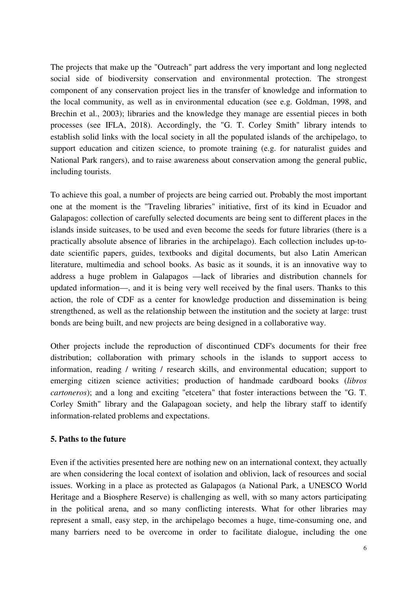The projects that make up the "Outreach" part address the very important and long neglected social side of biodiversity conservation and environmental protection. The strongest component of any conservation project lies in the transfer of knowledge and information to the local community, as well as in environmental education (see e.g. Goldman, 1998, and Brechin et al., 2003); libraries and the knowledge they manage are essential pieces in both processes (see IFLA, 2018). Accordingly, the "G. T. Corley Smith" library intends to establish solid links with the local society in all the populated islands of the archipelago, to support education and citizen science, to promote training (e.g. for naturalist guides and National Park rangers), and to raise awareness about conservation among the general public, including tourists.

To achieve this goal, a number of projects are being carried out. Probably the most important one at the moment is the "Traveling libraries" initiative, first of its kind in Ecuador and Galapagos: collection of carefully selected documents are being sent to different places in the islands inside suitcases, to be used and even become the seeds for future libraries (there is a practically absolute absence of libraries in the archipelago). Each collection includes up-todate scientific papers, guides, textbooks and digital documents, but also Latin American literature, multimedia and school books. As basic as it sounds, it is an innovative way to address a huge problem in Galapagos —lack of libraries and distribution channels for updated information—, and it is being very well received by the final users. Thanks to this action, the role of CDF as a center for knowledge production and dissemination is being strengthened, as well as the relationship between the institution and the society at large: trust bonds are being built, and new projects are being designed in a collaborative way.

Other projects include the reproduction of discontinued CDF's documents for their free distribution; collaboration with primary schools in the islands to support access to information, reading / writing / research skills, and environmental education; support to emerging citizen science activities; production of handmade cardboard books (*libros cartoneros*); and a long and exciting "etcetera" that foster interactions between the "G. T. Corley Smith" library and the Galapagoan society, and help the library staff to identify information-related problems and expectations.

#### **5. Paths to the future**

Even if the activities presented here are nothing new on an international context, they actually are when considering the local context of isolation and oblivion, lack of resources and social issues. Working in a place as protected as Galapagos (a National Park, a UNESCO World Heritage and a Biosphere Reserve) is challenging as well, with so many actors participating in the political arena, and so many conflicting interests. What for other libraries may represent a small, easy step, in the archipelago becomes a huge, time-consuming one, and many barriers need to be overcome in order to facilitate dialogue, including the one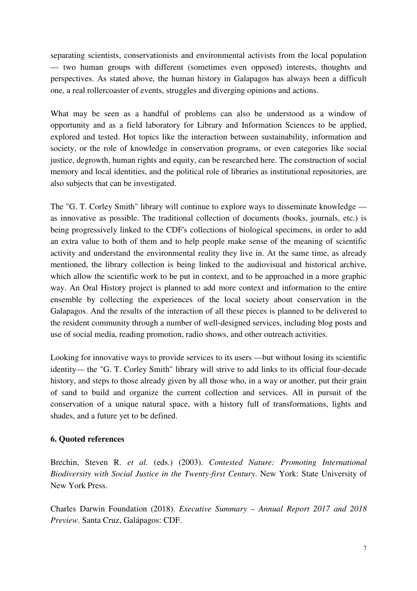separating scientists, conservationists and environmental activists from the local population — two human groups with different (sometimes even opposed) interests, thoughts and perspectives. As stated above, the human history in Galapagos has always been a difficult one, a real rollercoaster of events, struggles and diverging opinions and actions.

What may be seen as a handful of problems can also be understood as a window of opportunity and as a field laboratory for Library and Information Sciences to be applied, explored and tested. Hot topics like the interaction between sustainability, information and society, or the role of knowledge in conservation programs, or even categories like social justice, degrowth, human rights and equity, can be researched here. The construction of social memory and local identities, and the political role of libraries as institutional repositories, are also subjects that can be investigated.

The "G. T. Corley Smith" library will continue to explore ways to disseminate knowledge as innovative as possible. The traditional collection of documents (books, journals, etc.) is being progressively linked to the CDF's collections of biological specimens, in order to add an extra value to both of them and to help people make sense of the meaning of scientific activity and understand the environmental reality they live in. At the same time, as already mentioned, the library collection is being linked to the audiovisual and historical archive, which allow the scientific work to be put in context, and to be approached in a more graphic way. An Oral History project is planned to add more context and information to the entire ensemble by collecting the experiences of the local society about conservation in the Galapagos. And the results of the interaction of all these pieces is planned to be delivered to the resident community through a number of well-designed services, including blog posts and use of social media, reading promotion, radio shows, and other outreach activities.

Looking for innovative ways to provide services to its users —but without losing its scientific identity— the "G. T. Corley Smith" library will strive to add links to its official four-decade history, and steps to those already given by all those who, in a way or another, put their grain of sand to build and organize the current collection and services. All in pursuit of the conservation of a unique natural space, with a history full of transformations, lights and shades, and a future yet to be defined.

#### **6. Quoted references**

Brechin, Steven R. *et al.* (eds.) (2003). *Contested Nature: Promoting International Biodiversity with Social Justice in the Twenty-first Century*. New York: State University of New York Press.

Charles Darwin Foundation (2018). *Executive Summary – Annual Report 2017 and 2018 Preview*. Santa Cruz, Galápagos: CDF.